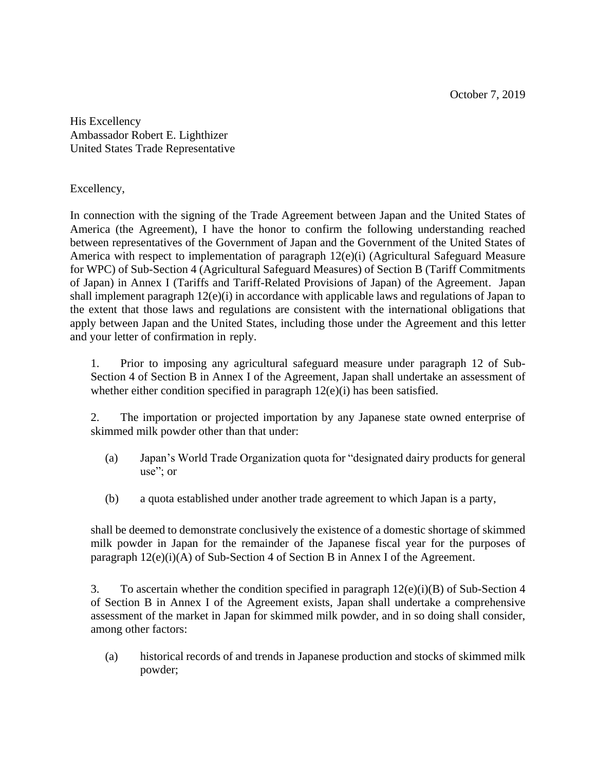October 7, 2019

His Excellency Ambassador Robert E. Lighthizer United States Trade Representative

Excellency,

In connection with the signing of the Trade Agreement between Japan and the United States of America (the Agreement), I have the honor to confirm the following understanding reached between representatives of the Government of Japan and the Government of the United States of America with respect to implementation of paragraph 12(e)(i) (Agricultural Safeguard Measure for WPC) of Sub-Section 4 (Agricultural Safeguard Measures) of Section B (Tariff Commitments of Japan) in Annex I (Tariffs and Tariff-Related Provisions of Japan) of the Agreement. Japan shall implement paragraph 12(e)(i) in accordance with applicable laws and regulations of Japan to the extent that those laws and regulations are consistent with the international obligations that apply between Japan and the United States, including those under the Agreement and this letter and your letter of confirmation in reply.

1. Prior to imposing any agricultural safeguard measure under paragraph 12 of Sub-Section 4 of Section B in Annex I of the Agreement, Japan shall undertake an assessment of whether either condition specified in paragraph  $12(e)(i)$  has been satisfied.

2. The importation or projected importation by any Japanese state owned enterprise of skimmed milk powder other than that under:

- (a) Japan's World Trade Organization quota for "designated dairy products for general use"; or
- (b) a quota established under another trade agreement to which Japan is a party,

shall be deemed to demonstrate conclusively the existence of a domestic shortage of skimmed milk powder in Japan for the remainder of the Japanese fiscal year for the purposes of paragraph 12(e)(i)(A) of Sub-Section 4 of Section B in Annex I of the Agreement.

3. To ascertain whether the condition specified in paragraph 12(e)(i)(B) of Sub-Section 4 of Section B in Annex I of the Agreement exists, Japan shall undertake a comprehensive assessment of the market in Japan for skimmed milk powder, and in so doing shall consider, among other factors:

(a) historical records of and trends in Japanese production and stocks of skimmed milk powder;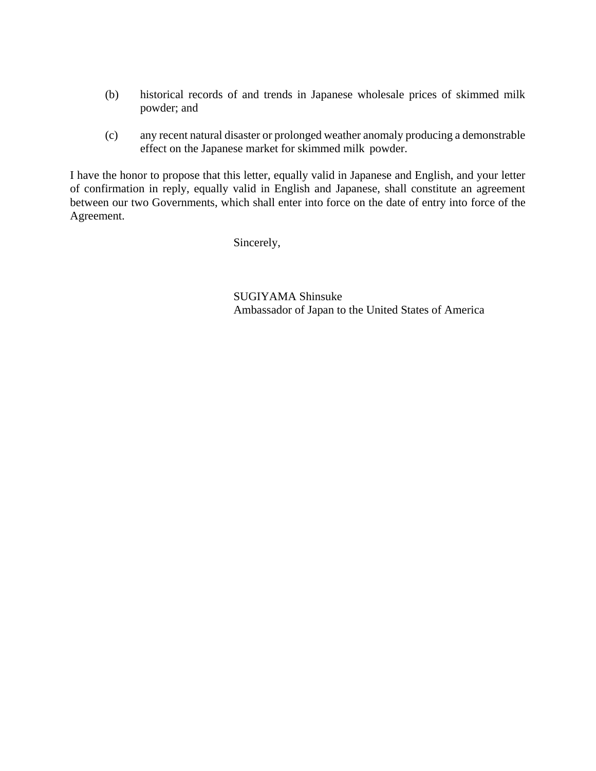- (b) historical records of and trends in Japanese wholesale prices of skimmed milk powder; and
- (c) any recent natural disaster or prolonged weather anomaly producing a demonstrable effect on the Japanese market for skimmed milk powder.

I have the honor to propose that this letter, equally valid in Japanese and English, and your letter of confirmation in reply, equally valid in English and Japanese, shall constitute an agreement between our two Governments, which shall enter into force on the date of entry into force of the Agreement.

Sincerely,

 SUGIYAMA Shinsuke Ambassador of Japan to the United States of America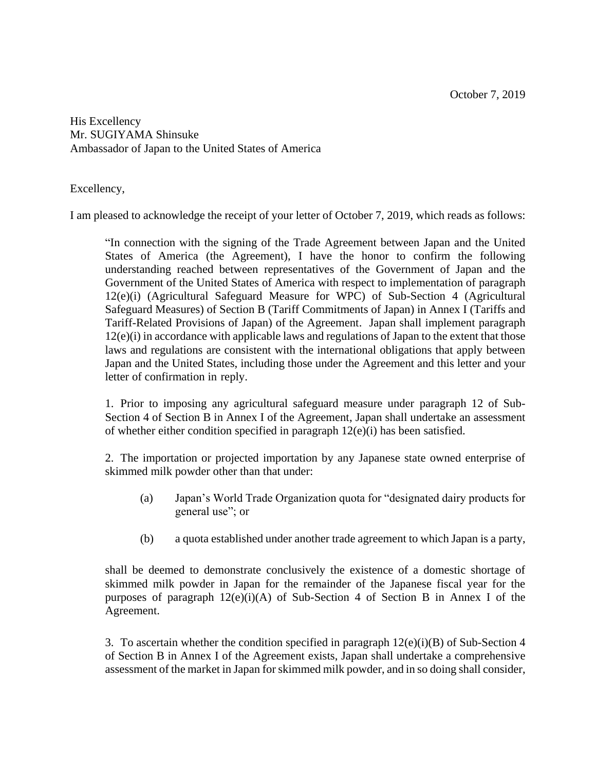His Excellency Mr. SUGIYAMA Shinsuke Ambassador of Japan to the United States of America

Excellency,

I am pleased to acknowledge the receipt of your letter of October 7, 2019, which reads as follows:

"In connection with the signing of the Trade Agreement between Japan and the United States of America (the Agreement), I have the honor to confirm the following understanding reached between representatives of the Government of Japan and the Government of the United States of America with respect to implementation of paragraph 12(e)(i) (Agricultural Safeguard Measure for WPC) of Sub-Section 4 (Agricultural Safeguard Measures) of Section B (Tariff Commitments of Japan) in Annex I (Tariffs and Tariff-Related Provisions of Japan) of the Agreement. Japan shall implement paragraph 12(e)(i) in accordance with applicable laws and regulations of Japan to the extent that those laws and regulations are consistent with the international obligations that apply between Japan and the United States, including those under the Agreement and this letter and your letter of confirmation in reply.

1. Prior to imposing any agricultural safeguard measure under paragraph 12 of Sub-Section 4 of Section B in Annex I of the Agreement, Japan shall undertake an assessment of whether either condition specified in paragraph 12(e)(i) has been satisfied.

2. The importation or projected importation by any Japanese state owned enterprise of skimmed milk powder other than that under:

- (a) Japan's World Trade Organization quota for "designated dairy products for general use"; or
- (b) a quota established under another trade agreement to which Japan is a party,

shall be deemed to demonstrate conclusively the existence of a domestic shortage of skimmed milk powder in Japan for the remainder of the Japanese fiscal year for the purposes of paragraph  $12(e)(i)(A)$  of Sub-Section 4 of Section B in Annex I of the Agreement.

3. To ascertain whether the condition specified in paragraph 12(e)(i)(B) of Sub-Section 4 of Section B in Annex I of the Agreement exists, Japan shall undertake a comprehensive assessment of the market in Japan for skimmed milk powder, and in so doing shall consider,